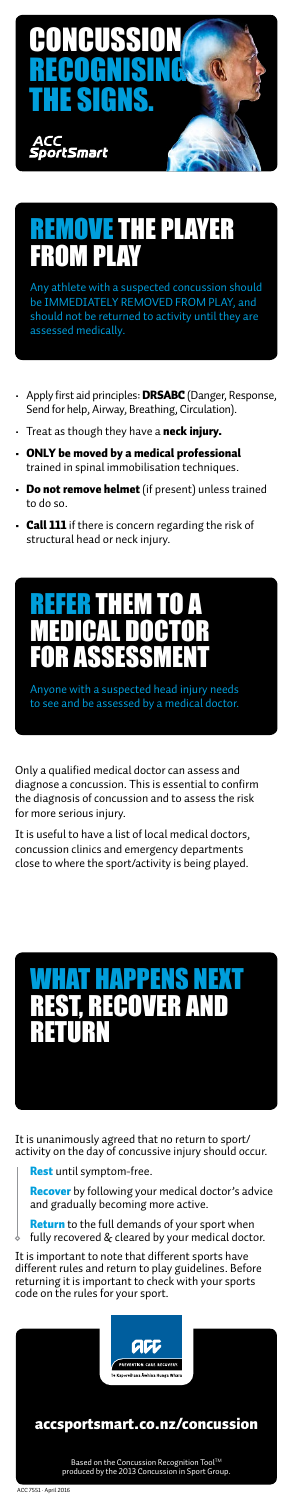- Apply first aid principles: **DRSABC** (Danger, Response, Send for help, Airway, Breathing, Circulation).
- Treat as though they have a neck injury.
- ONLY be moved by a medical professional trained in spinal immobilisation techniques.
- Do not remove helmet (if present) unless trained to do so.
- Call 111 if there is concern regarding the risk of structural head or neck injury.

Only a qualified medical doctor can assess and diagnose a concussion. This is essential to confirm the diagnosis of concussion and to assess the risk for more serious injury.

**Return** to the full demands of your sport when fully recovered & cleared by your medical doctor.

# **HE PLAYER** FROM PLAY

It is useful to have a list of local medical doctors, concussion clinics and emergency departments close to where the sport/activity is being played.

It is unanimously agreed that no return to sport/ activity on the day of concussive injury should occur.

Rest until symptom-free.  $\cdot$  by following your medical doctor's advice and gradually becoming more active.

It is important to note that different sports have different rules and return to play guidelines. Before returning it is important to check with your sports code on the rules for your sport.



Any athlete with a suspected concussion should be IMMEDIATELY REMOVED FROM PLAY, and should not be returned to activity until they are assessed medically.



Anyone with a suspected head injury needs to see and be assessed by a medical doctor.

# WHAT HAPPENS NEXT REST, RECOVER AND RETURN



#### ACC 7551 · April 2016 Based on the Concussion Recognition ToolTM produced by the 2013 Concussion in Sport Group. accsportsmart.co.nz/concussion

Based on the Concussion Recognition ToolTM produced by the 2013 Concussion in Sport Group.